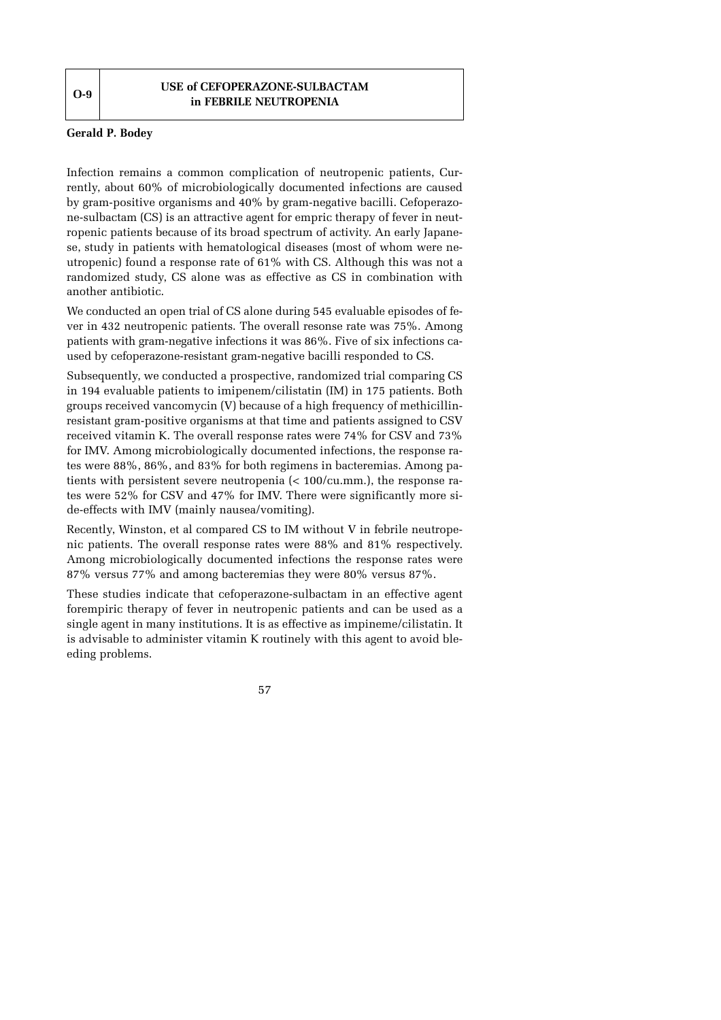**USE of CEFOPERAZONE-SULBACTAM in FEBRILE NEUTROPENIA** 

## **Gerald P. Bodey**

Infection remains a common complication of neutropenic patients, Currently, about 60% of microbiologically documented infections are caused by gram-positive organisms and 40% by gram-negative bacilli. Cefoperazone-sulbactam (CS) is an attractive agent for empric therapy of fever in neutropenic patients because of its broad spectrum of activity. An early Japanese, study in patients with hematological diseases (most of whom were neutropenic) found a response rate of 61% with CS. Although this was not a randomized study, CS alone was as effective as CS in combination with another antibiotic.

We conducted an open trial of CS alone during 545 evaluable episodes of fever in 432 neutropenic patients. The overall resonse rate was 75%. Among patients with gram-negative infections it was 86%. Five of six infections caused by cefoperazone-resistant gram-negative bacilli responded to CS.

Subsequently, we conducted a prospective, randomized trial comparing CS in 194 evaluable patients to imipenem/cilistatin (IM) in 175 patients. Both groups received vancomycin (V) because of a high frequency of methicillinresistant gram-positive organisms at that time and patients assigned to CSV received vitamin K. The overall response rates were 74% for CSV and 73% for IMV. Among microbiologically documented infections, the response rates were 88%, 86%, and 83% for both regimens in bacteremias. Among patients with persistent severe neutropenia (< 100/cu.mm.), the response rates were 52% for CSV and 47% for IMV. There were significantly more side-effects with IMV (mainly nausea/vomiting).

Recently, Winston, et al compared CS to IM without V in febrile neutropenic patients. The overall response rates were 88% and 81% respectively. Among microbiologically documented infections the response rates were 87% versus 77% and among bacteremias they were 80% versus 87%.

These studies indicate that cefoperazone-sulbactam in an effective agent forempiric therapy of fever in neutropenic patients and can be used as a single agent in many institutions. It is as effective as impineme/cilistatin. It is advisable to administer vitamin K routinely with this agent to avoid bleeding problems.

57